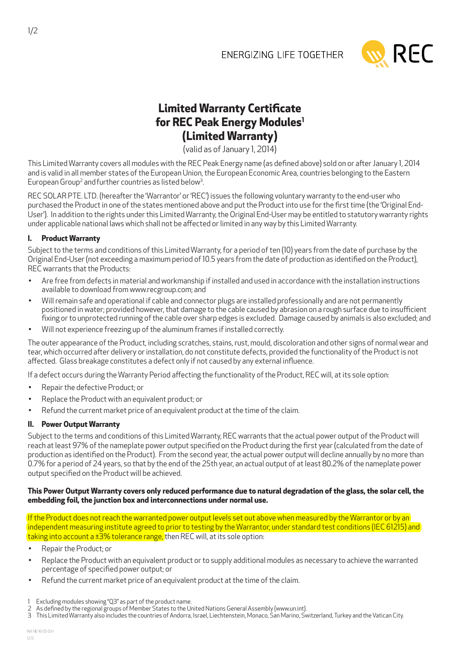## **ENERGIZING LIFE TOGETHER**



# **Limited Warranty Certificate for REC Peak Energy Modules1 (Limited Warranty)**

(valid as of January 1, 2014)

This Limited Warranty covers all modules with the REC Peak Energy name (as defined above) sold on or after January 1, 2014 and is valid in all member states of the European Union, the European Economic Area, countries belonging to the Eastern European Group<sup>2</sup> and further countries as listed below<sup>3</sup> .

REC SOLAR PTE. LTD. (hereafter the 'Warrantor' or 'REC') issues the following voluntary warranty to the end-user who purchased the Product in one of the states mentioned above and put the Product into use for the first time (the 'Original End-User'). In addition to the rights under this Limited Warranty, the Original End-User may be entitled to statutory warranty rights under applicable national laws which shall not be affected or limited in any way by this Limited Warranty.

### **I. Product Warranty**

Subject to the terms and conditions of this Limited Warranty, for a period of ten (10) years from the date of purchase by the Original End-User (not exceeding a maximum period of 10.5 years from the date of production as identified on the Product), REC warrants that the Products:

- Are free from defects in material and workmanship if installed and used in accordance with the installation instructions available to download from www.recgroup.com; and
- Will remain safe and operational if cable and connector plugs are installed professionally and are not permanently positioned in water; provided however, that damage to the cable caused by abrasion on a rough surface due to insufficient fixing or to unprotected running of the cable over sharp edges is excluded. Damage caused by animals is also excluded; and
- Will not experience freezing up of the aluminum frames if installed correctly.

The outer appearance of the Product, including scratches, stains, rust, mould, discoloration and other signs of normal wear and tear, which occurred after delivery or installation, do not constitute defects, provided the functionality of the Product is not affected. Glass breakage constitutes a defect only if not caused by any external influence.

If a defect occurs during the Warranty Period affecting the functionality of the Product, REC will, at its sole option:

- • Repair the defective Product; or
- Replace the Product with an equivalent product; or
- Refund the current market price of an equivalent product at the time of the claim.

## **II. Power Output Warranty**

Subject to the terms and conditions of this Limited Warranty, REC warrants that the actual power output of the Product will reach at least 97% of the nameplate power output specified on the Product during the first year (calculated from the date of production as identified on the Product). From the second year, the actual power output will decline annually by no more than 0.7% for a period of 24 years, so that by the end of the 25th year, an actual output of at least 80.2% of the nameplate power output specified on the Product will be achieved.

#### **This Power Output Warranty covers only reduced performance due to natural degradation of the glass, the solar cell, the embedding foil, the junction box and interconnections under normal use.**

If the Product does not reach the warranted power output levels set out above when measured by the Warrantor or by an independent measuring institute agreed to prior to testing by the Warrantor, under standard test conditions (IEC 61215) and  $\tau$  taking into account a  $\pm$ 3% tolerance range, then REC will, at its sole option:

- Repair the Product; or
- Replace the Product with an equivalent product or to supply additional modules as necessary to achieve the warranted percentage of specified power output; or
- Refund the current market price of an equivalent product at the time of the claim.

- 2 As defined by the regional groups of Member States to the United Nations General Assembly (www.un.int).
- 3 This Limited Warranty also includes the countries of Andorra, Israel, Liechtenstein, Monaco, San Marino, Switzerland, Turkey and the Vatican City.

<sup>1</sup> Excluding modules showing "Q3" as part of the product name.